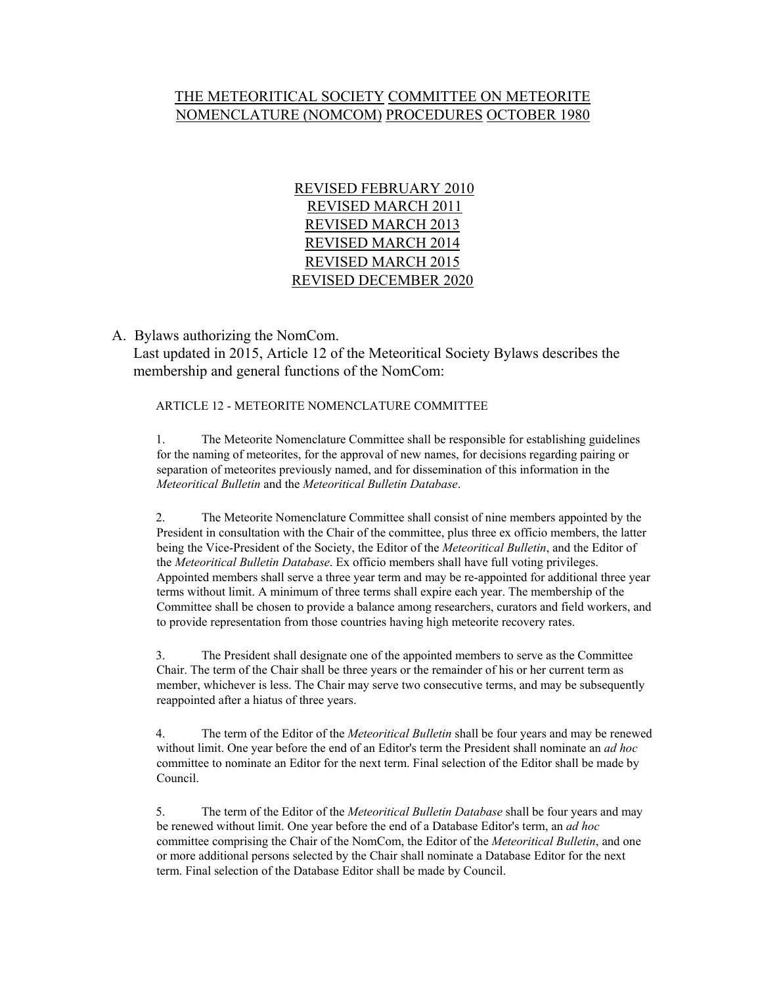## THE METEORITICAL SOCIETY COMMITTEE ON METEORITE NOMENCLATURE (NOMCOM) PROCEDURES OCTOBER 1980

REVISED FEBRUARY 2010 REVISED MARCH 2011 REVISED MARCH 2013 REVISED MARCH 2014 REVISED MARCH 2015 REVISED DECEMBER 2020

A. Bylaws authorizing the NomCom.

Last updated in 2015, Article 12 of the Meteoritical Society Bylaws describes the membership and general functions of the NomCom:

ARTICLE 12 - METEORITE NOMENCLATURE COMMITTEE

1. The Meteorite Nomenclature Committee shall be responsible for establishing guidelines for the naming of meteorites, for the approval of new names, for decisions regarding pairing or separation of meteorites previously named, and for dissemination of this information in the *Meteoritical Bulletin* and the *Meteoritical Bulletin Database*.

2. The Meteorite Nomenclature Committee shall consist of nine members appointed by the President in consultation with the Chair of the committee, plus three ex officio members, the latter being the Vice-President of the Society, the Editor of the *Meteoritical Bulletin*, and the Editor of the *Meteoritical Bulletin Database*. Ex officio members shall have full voting privileges. Appointed members shall serve a three year term and may be re-appointed for additional three year terms without limit. A minimum of three terms shall expire each year. The membership of the Committee shall be chosen to provide a balance among researchers, curators and field workers, and to provide representation from those countries having high meteorite recovery rates.

3. The President shall designate one of the appointed members to serve as the Committee Chair. The term of the Chair shall be three years or the remainder of his or her current term as member, whichever is less. The Chair may serve two consecutive terms, and may be subsequently reappointed after a hiatus of three years.

4. The term of the Editor of the *Meteoritical Bulletin* shall be four years and may be renewed without limit. One year before the end of an Editor's term the President shall nominate an *ad hoc* committee to nominate an Editor for the next term. Final selection of the Editor shall be made by Council.

5. The term of the Editor of the *Meteoritical Bulletin Database* shall be four years and may be renewed without limit. One year before the end of a Database Editor's term, an *ad hoc* committee comprising the Chair of the NomCom, the Editor of the *Meteoritical Bulletin*, and one or more additional persons selected by the Chair shall nominate a Database Editor for the next term. Final selection of the Database Editor shall be made by Council.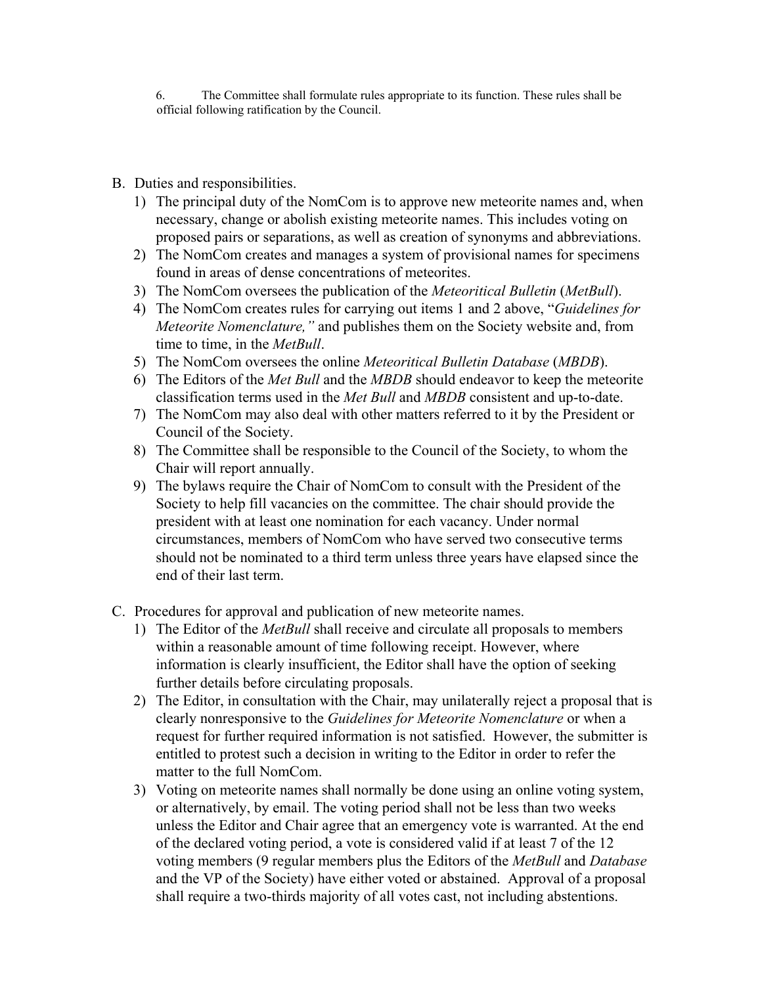6. The Committee shall formulate rules appropriate to its function. These rules shall be official following ratification by the Council.

- B. Duties and responsibilities.
	- 1) The principal duty of the NomCom is to approve new meteorite names and, when necessary, change or abolish existing meteorite names. This includes voting on proposed pairs or separations, as well as creation of synonyms and abbreviations.
	- 2) The NomCom creates and manages a system of provisional names for specimens found in areas of dense concentrations of meteorites.
	- 3) The NomCom oversees the publication of the *Meteoritical Bulletin* (*MetBull*).
	- 4) The NomCom creates rules for carrying out items 1 and 2 above, "*Guidelines for Meteorite Nomenclature,"* and publishes them on the Society website and, from time to time, in the *MetBull*.
	- 5) The NomCom oversees the online *Meteoritical Bulletin Database* (*MBDB*).
	- 6) The Editors of the *Met Bull* and the *MBDB* should endeavor to keep the meteorite classification terms used in the *Met Bull* and *MBDB* consistent and up-to-date.
	- 7) The NomCom may also deal with other matters referred to it by the President or Council of the Society.
	- 8) The Committee shall be responsible to the Council of the Society, to whom the Chair will report annually.
	- 9) The bylaws require the Chair of NomCom to consult with the President of the Society to help fill vacancies on the committee. The chair should provide the president with at least one nomination for each vacancy. Under normal circumstances, members of NomCom who have served two consecutive terms should not be nominated to a third term unless three years have elapsed since the end of their last term.
- C. Procedures for approval and publication of new meteorite names.
	- 1) The Editor of the *MetBull* shall receive and circulate all proposals to members within a reasonable amount of time following receipt. However, where information is clearly insufficient, the Editor shall have the option of seeking further details before circulating proposals.
	- 2) The Editor, in consultation with the Chair, may unilaterally reject a proposal that is clearly nonresponsive to the *Guidelines for Meteorite Nomenclature* or when a request for further required information is not satisfied. However, the submitter is entitled to protest such a decision in writing to the Editor in order to refer the matter to the full NomCom.
	- 3) Voting on meteorite names shall normally be done using an online voting system, or alternatively, by email. The voting period shall not be less than two weeks unless the Editor and Chair agree that an emergency vote is warranted. At the end of the declared voting period, a vote is considered valid if at least 7 of the 12 voting members (9 regular members plus the Editors of the *MetBull* and *Database* and the VP of the Society) have either voted or abstained. Approval of a proposal shall require a two-thirds majority of all votes cast, not including abstentions.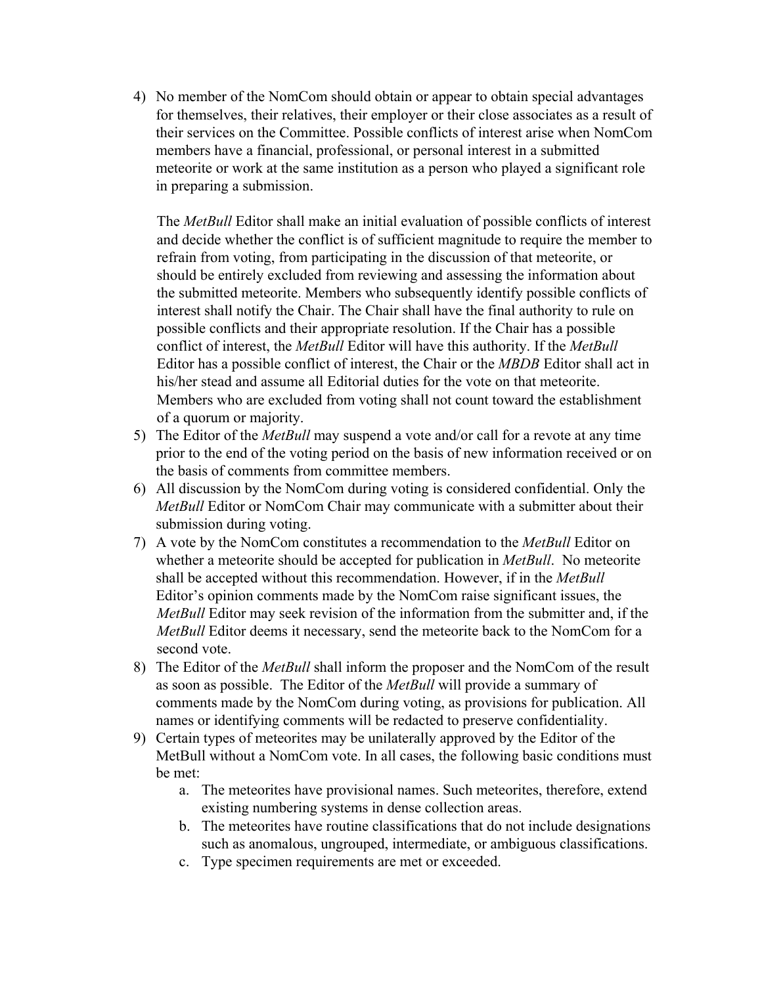4) No member of the NomCom should obtain or appear to obtain special advantages for themselves, their relatives, their employer or their close associates as a result of their services on the Committee. Possible conflicts of interest arise when NomCom members have a financial, professional, or personal interest in a submitted meteorite or work at the same institution as a person who played a significant role in preparing a submission.

The *MetBull* Editor shall make an initial evaluation of possible conflicts of interest and decide whether the conflict is of sufficient magnitude to require the member to refrain from voting, from participating in the discussion of that meteorite, or should be entirely excluded from reviewing and assessing the information about the submitted meteorite. Members who subsequently identify possible conflicts of interest shall notify the Chair. The Chair shall have the final authority to rule on possible conflicts and their appropriate resolution. If the Chair has a possible conflict of interest, the *MetBull* Editor will have this authority. If the *MetBull* Editor has a possible conflict of interest, the Chair or the *MBDB* Editor shall act in his/her stead and assume all Editorial duties for the vote on that meteorite. Members who are excluded from voting shall not count toward the establishment of a quorum or majority.

- 5) The Editor of the *MetBull* may suspend a vote and/or call for a revote at any time prior to the end of the voting period on the basis of new information received or on the basis of comments from committee members.
- 6) All discussion by the NomCom during voting is considered confidential. Only the *MetBull* Editor or NomCom Chair may communicate with a submitter about their submission during voting.
- 7) A vote by the NomCom constitutes a recommendation to the *MetBull* Editor on whether a meteorite should be accepted for publication in *MetBull*. No meteorite shall be accepted without this recommendation. However, if in the *MetBull* Editor's opinion comments made by the NomCom raise significant issues, the *MetBull* Editor may seek revision of the information from the submitter and, if the *MetBull* Editor deems it necessary, send the meteorite back to the NomCom for a second vote.
- 8) The Editor of the *MetBull* shall inform the proposer and the NomCom of the result as soon as possible. The Editor of the *MetBull* will provide a summary of comments made by the NomCom during voting, as provisions for publication. All names or identifying comments will be redacted to preserve confidentiality.
- 9) Certain types of meteorites may be unilaterally approved by the Editor of the MetBull without a NomCom vote. In all cases, the following basic conditions must be met:
	- a. The meteorites have provisional names. Such meteorites, therefore, extend existing numbering systems in dense collection areas.
	- b. The meteorites have routine classifications that do not include designations such as anomalous, ungrouped, intermediate, or ambiguous classifications.
	- c. Type specimen requirements are met or exceeded.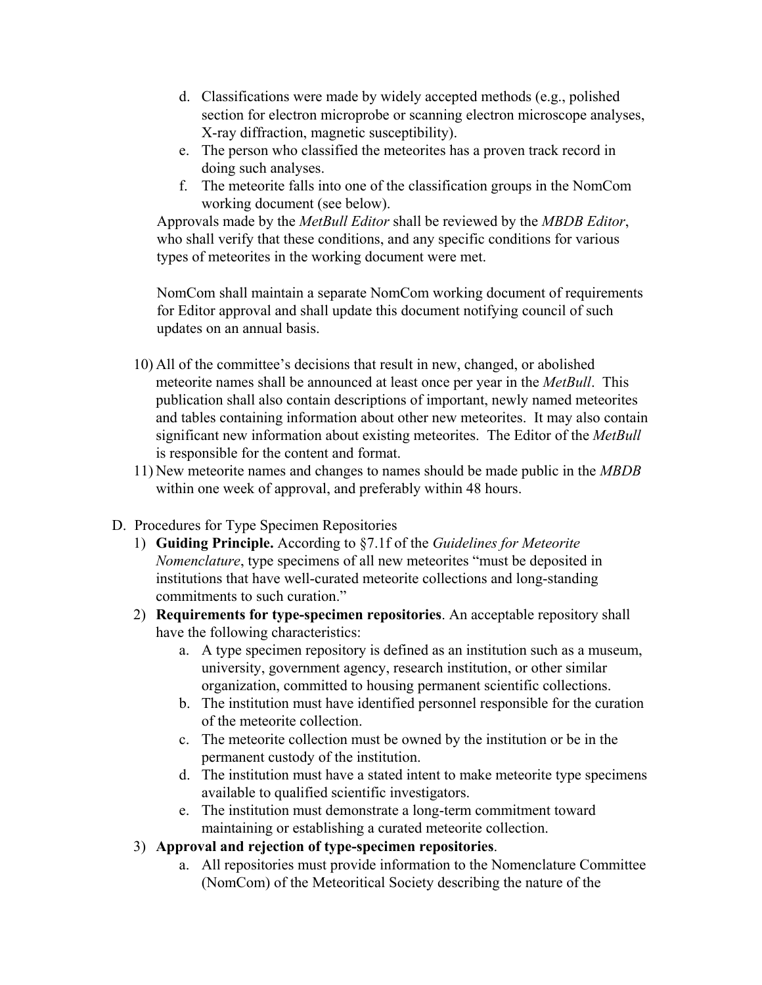- d. Classifications were made by widely accepted methods (e.g., polished section for electron microprobe or scanning electron microscope analyses, X-ray diffraction, magnetic susceptibility).
- e. The person who classified the meteorites has a proven track record in doing such analyses.
- f. The meteorite falls into one of the classification groups in the NomCom working document (see below).

Approvals made by the *MetBull Editor* shall be reviewed by the *MBDB Editor*, who shall verify that these conditions, and any specific conditions for various types of meteorites in the working document were met.

NomCom shall maintain a separate NomCom working document of requirements for Editor approval and shall update this document notifying council of such updates on an annual basis.

- 10) All of the committee's decisions that result in new, changed, or abolished meteorite names shall be announced at least once per year in the *MetBull*. This publication shall also contain descriptions of important, newly named meteorites and tables containing information about other new meteorites. It may also contain significant new information about existing meteorites. The Editor of the *MetBull* is responsible for the content and format.
- 11) New meteorite names and changes to names should be made public in the *MBDB* within one week of approval, and preferably within 48 hours.
- D. Procedures for Type Specimen Repositories
	- 1) **Guiding Principle.** According to §7.1f of the *Guidelines for Meteorite Nomenclature*, type specimens of all new meteorites "must be deposited in institutions that have well-curated meteorite collections and long-standing commitments to such curation."
	- 2) **Requirements for type-specimen repositories**. An acceptable repository shall have the following characteristics:
		- a. A type specimen repository is defined as an institution such as a museum, university, government agency, research institution, or other similar organization, committed to housing permanent scientific collections.
		- b. The institution must have identified personnel responsible for the curation of the meteorite collection.
		- c. The meteorite collection must be owned by the institution or be in the permanent custody of the institution.
		- d. The institution must have a stated intent to make meteorite type specimens available to qualified scientific investigators.
		- e. The institution must demonstrate a long-term commitment toward maintaining or establishing a curated meteorite collection.
	- 3) **Approval and rejection of type-specimen repositories**.
		- a. All repositories must provide information to the Nomenclature Committee (NomCom) of the Meteoritical Society describing the nature of the